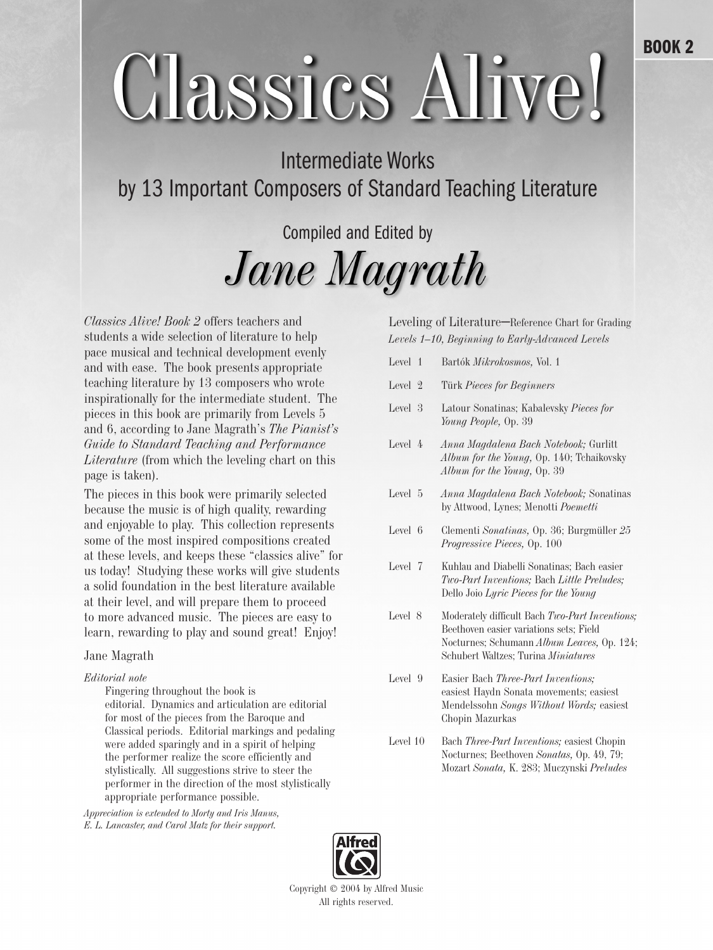# Classies Alive!

## Intermediate Works by 13 Important Composers of Standard Teaching Literature

# Compiled and Edited by Jane Magrath

*Classics Alive! Book 2* offers teachers and students a wide selection of literature to help pace musical and technical development evenly and with ease. The book presents appropriate teaching literature by 13 composers who wrote inspirationally for the intermediate student. The pieces in this book are primarily from Levels 5 and 6, according to Jane Magrath's *The Pianist's Guide to Standard Teaching and Performance Literature* (from which the leveling chart on this page is taken).

The pieces in this book were primarily selected because the music is of high quality, rewarding and enjoyable to play. This collection represents some of the most inspired compositions created at these levels, and keeps these "classics alive" for us today! Studying these works will give students a solid foundation in the best literature available at their level, and will prepare them to proceed to more advanced music. The pieces are easy to learn, rewarding to play and sound great! Enjoy!

#### Jane Magrath

#### *Editorial note*

Fingering throughout the book is editorial. Dynamics and articulation are editorial for most of the pieces from the Baroque and Classical periods. Editorial markings and pedaling were added sparingly and in a spirit of helping the performer realize the score efficiently and stylistically. All suggestions strive to steer the performer in the direction of the most stylistically appropriate performance possible.

*Appreciation is extended to Morty and Iris Manus, E. L. Lancaster, and Carol Matz for their support.*

Leveling of Literature–Reference Chart for Grading *Levels 1–10, Beginning to Early-Advanced Levels*

| Level 1  | Bartók Mikrokosmos, Vol. 1                                                                                                                                                     |
|----------|--------------------------------------------------------------------------------------------------------------------------------------------------------------------------------|
| Level 2  | Türk Pieces for Beginners                                                                                                                                                      |
| Level 3  | Latour Sonatinas; Kabalevsky Pieces for<br>Young People, Op. 39                                                                                                                |
| Level 4  | Anna Magdalena Bach Notebook; Gurlitt<br>Album for the Young, Op. 140; Tchaikovsky<br>Album for the Young, Op. 39                                                              |
| Level 5  | Anna Magdalena Bach Notebook; Sonatinas<br>by Attwood, Lynes; Menotti Poemetti                                                                                                 |
| Level 6  | Clementi Sonatinas, Op. 36; Burgmüller 25<br><i>Progressive Pieces</i> , Op. 100                                                                                               |
| Level 7  | Kuhlau and Diabelli Sonatinas; Bach easier<br>Two-Part Inventions; Bach Little Preludes;<br>Dello Joio Lyric Pieces for the Young                                              |
| Level 8  | Moderately difficult Bach Two-Part Inventions;<br>Beethoven easier variations sets; Field<br>Nocturnes; Schumann Album Leaves, Op. 124;<br>Schubert Waltzes; Turina Miniatures |
| Level 9  | Easier Bach Three-Part Inventions;<br>easiest Haydn Sonata movements; easiest<br>Mendelssohn Songs Without Words; easiest<br>Chopin Mazurkas                                   |
| Level 10 | Bach Three-Part Inventions; easiest Chopin<br>Nocturnes; Beethoven Sonatas, Op. 49, 79;                                                                                        |

Mozart *Sonata,* K. 283; Muczynski *Preludes*



Copyright © 2004 by Alfred Music All rights reserved.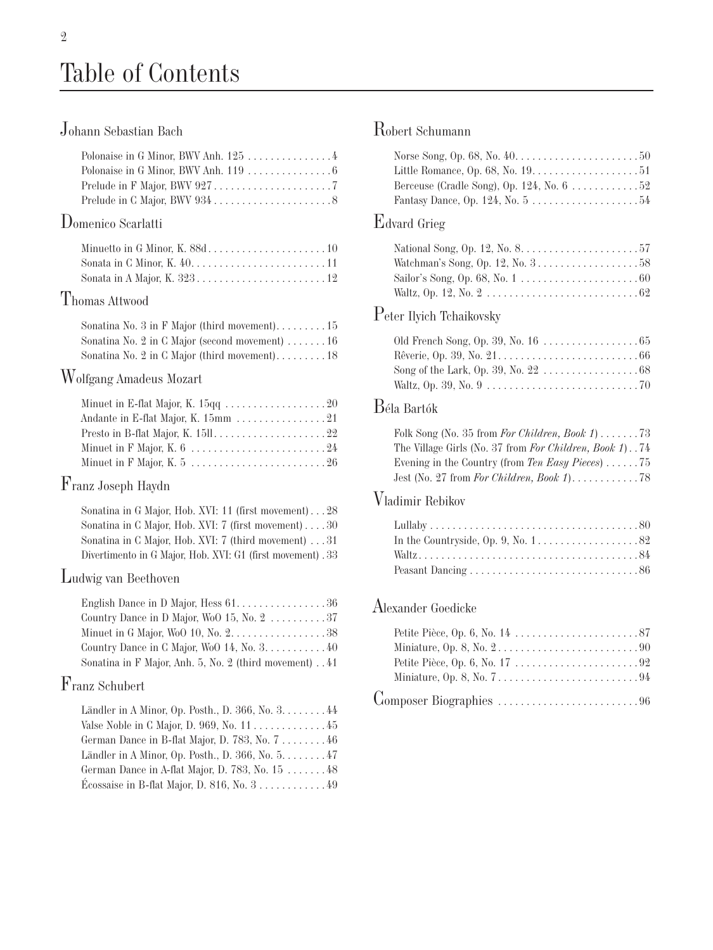## Table of Contents

## Johann Sebastian Bach

| Polonaise in G Minor, BWV Anh. 125 $\,\ldots\ldots\ldots\ldots\ldots\,4$         |  |
|----------------------------------------------------------------------------------|--|
| Polonaise in G Minor, BWV Anh. 119 $\,\ldots\,\ldots\,\ldots\,\ldots\,\ldots\,6$ |  |
|                                                                                  |  |
|                                                                                  |  |

#### Domenico Scarlatti

## Thomas Attwood

|  |  |  | Sonatina No. 2 in C Major (second movement) $\dots \dots 16$ |  |
|--|--|--|--------------------------------------------------------------|--|
|  |  |  |                                                              |  |

#### Wolfgang Amadeus Mozart

| Minuet in E-flat Major, K. $15qq \ldots \ldots \ldots \ldots \ldots 20$ |  |
|-------------------------------------------------------------------------|--|
|                                                                         |  |
|                                                                         |  |
|                                                                         |  |
|                                                                         |  |

#### Franz Joseph Haydn

| Sonatina in G Major, Hob. XVI: 11 (first movement)28        |
|-------------------------------------------------------------|
| Sonatina in C Major, Hob. XVI: 7 (first movement) $30$      |
| Sonatina in C Major, Hob. XVI: 7 (third movement) 31        |
| Divertimento in G Major, Hob. XVI: G1 (first movement) . 33 |

#### Ludwig van Beethoven

| English Dance in D Major, Hess $61. \ldots \ldots \ldots \ldots \ldots 36$ |  |
|----------------------------------------------------------------------------|--|
| Country Dance in D Major, WoO 15, No. $2 \ldots \ldots \ldots 37$          |  |
| Minuet in G Major, WoO 10, No. 2. 38                                       |  |
| Country Dance in C Major, Wo $0$ 14, No. $3. \ldots \ldots \ldots 40$      |  |
| Sonatina in F Major, Anh. 5, No. 2 (third movement). 41                    |  |

#### Franz Schubert

| Ländler in A Minor, Op. Posth., D. 366, No. 3. 44 |  |
|---------------------------------------------------|--|
| Valse Noble in C Major, D. 969, No. 1145          |  |
| German Dance in B-flat Major, D. 783, No. 7 46    |  |
| Ländler in A Minor, Op. Posth., D. 366, No. 5. 47 |  |
| German Dance in A-flat Major, D. 783, No. 15 48   |  |
| Écossaise in B-flat Major, D. 816, No. $3$ 49     |  |

## Robert Schumann

| Berceuse (Cradle Song), Op. 124, No. $6 \ldots \ldots \ldots 52$             |  |
|------------------------------------------------------------------------------|--|
| Fantasy Dance, Op. 124, No. $5 \ldots \ldots \ldots \ldots \ldots \ldots 54$ |  |
|                                                                              |  |

#### Edvard Grieg

| National Song, Op. 12, No. $8. \ldots \ldots \ldots \ldots \ldots \ldots 57$ |  |
|------------------------------------------------------------------------------|--|
| Watchman's Song, Op. 12, No. $3 \ldots \ldots \ldots \ldots \ldots 58$       |  |
|                                                                              |  |
|                                                                              |  |

#### Peter Ilyich Tchaikovsky

#### Béla Bartók

| The Village Girls (No. 37 from For Children, Book 1). 74 |  |
|----------------------------------------------------------|--|
| Evening in the Country (from Ten Easy Pieces)  75        |  |
|                                                          |  |

#### Vladimir Rebikov

| In the Countryside, Op. 9, No. $1, \ldots, \ldots, \ldots, \ldots, 82$ |  |
|------------------------------------------------------------------------|--|
|                                                                        |  |
|                                                                        |  |

#### Alexander Goedicke

| Miniature, Op. 8, No. $2 \ldots \ldots \ldots \ldots \ldots \ldots \ldots \ldots \ldots \ldots \ldots$                 |  |
|------------------------------------------------------------------------------------------------------------------------|--|
|                                                                                                                        |  |
| Miniature, Op. 8, No. $7 \ldots \ldots \ldots \ldots \ldots \ldots \ldots \ldots \ldots \ldots \ldots$                 |  |
| $\text{Compare Biographies} \dots \dots \dots \dots \dots \dots \dots \dots \dots \dots \dots \dots \dots \dots \dots$ |  |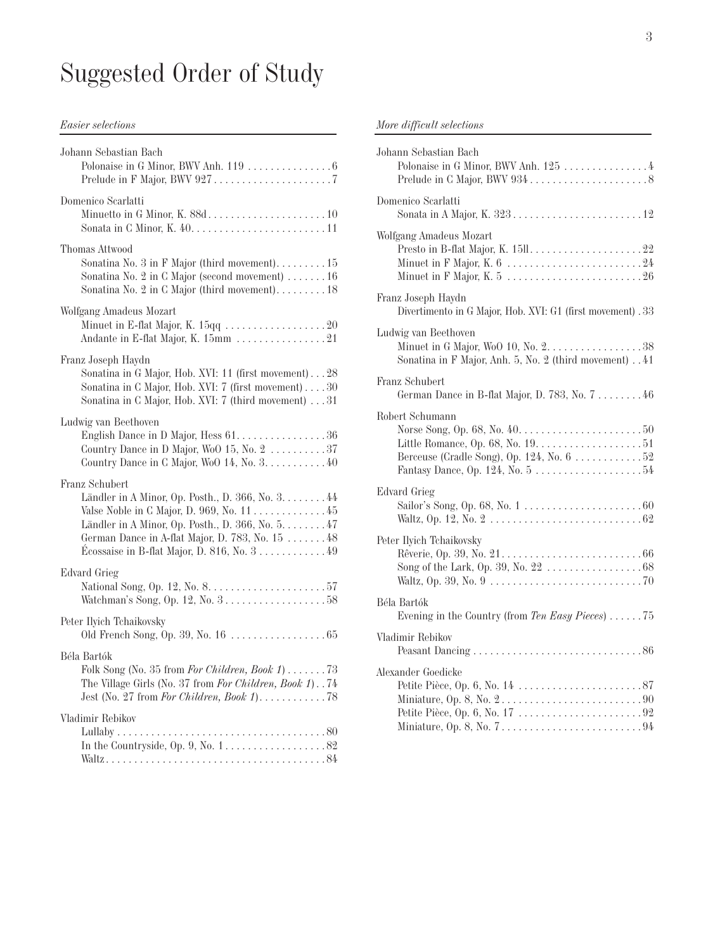# Suggested Order of Study

#### *Easier selections*

| Johann Sebastian Bach                                                                                                                                                                                                                                                                             |
|---------------------------------------------------------------------------------------------------------------------------------------------------------------------------------------------------------------------------------------------------------------------------------------------------|
| Domenico Scarlatti                                                                                                                                                                                                                                                                                |
| Thomas Attwood<br>Sonatina No. $3$ in F Major (third movement)15<br>Sonatina No. $2$ in C Major (second movement) $\dots \dots 16$                                                                                                                                                                |
| Wolfgang Amadeus Mozart<br>Minuet in E-flat Major, K. $15qq \ldots \ldots \ldots \ldots \ldots 20$<br>Andante in E-flat Major, K. 15mm 21                                                                                                                                                         |
| Franz Joseph Haydn<br>Sonatina in G Major, Hob. XVI: 11 (first movement)28<br>Sonatina in C Major, Hob. XVI: 7 (first movement) 30<br>Sonatina in C Major, Hob. XVI: 7 (third movement) 31                                                                                                        |
| Ludwig van Beethoven<br>English Dance in D Major, Hess 61. 36<br>Country Dance in D Major, WoO 15, No. $2 \ldots \ldots \ldots 37$<br>Country Dance in C Major, WoO 14, No. $3. \ldots \ldots \ldots 40$                                                                                          |
| Franz Schubert<br>Ländler in A Minor, Op. Posth., D. 366, No. 3. 44<br>Valse Noble in C Major, D. 969, No. $11$ 45<br>Ländler in A Minor, Op. Posth., D. 366, No. 5. 47<br>German Dance in A-flat Major, D. 783, No. 15  48<br>Écossaise in B-flat Major, D. 816, No. $3 \ldots \ldots \ldots 49$ |
| Edvard Grieg<br>Watchman's Song, Op. 12, No. $3 \ldots \ldots \ldots \ldots \ldots 58$                                                                                                                                                                                                            |
| Peter Ilyich Tchaikovsky                                                                                                                                                                                                                                                                          |
| Béla Bartók<br>Folk Song (No. 35 from For Children, Book 1)  73<br>The Village Girls (No. 37 from For Children, Book 1). 74                                                                                                                                                                       |
| Vladimir Rebikov<br>In the Countryside, Op. 9, No. $1, \ldots, \ldots, \ldots, \ldots, 82$                                                                                                                                                                                                        |

#### *More difficult selections*

| Johann Sebastian Bach<br>Polonaise in G Minor, BWV Anh. 125  4                                                                                                          |
|-------------------------------------------------------------------------------------------------------------------------------------------------------------------------|
| Domenico Scarlatti                                                                                                                                                      |
| Wolfgang Amadeus Mozart                                                                                                                                                 |
| Franz Joseph Haydn<br>Divertimento in G Major, Hob. XVI: G1 (first movement) . 33                                                                                       |
| Ludwig van Beethoven<br>Sonatina in F Major, Anh. 5, No. 2 (third movement) 41                                                                                          |
| Franz Schubert<br>German Dance in B-flat Major, D. 783, No. 7 46                                                                                                        |
| Robert Schumann<br>Norse Song, Op. 68, No. 40. $\dots \dots \dots \dots \dots \dots \dots \dots 50$<br>Berceuse (Cradle Song), Op. 124, No. $6 \ldots \ldots \ldots 52$ |
| Edvard Grieg                                                                                                                                                            |
| Peter Ilyich Tchaikovsky                                                                                                                                                |
| Béla Bartók<br>Evening in the Country (from Ten Easy Pieces)  75                                                                                                        |
| Vladimir Rebikov                                                                                                                                                        |
| Alexander Goedicke<br>Miniature, Op. 8, No. $7 \ldots \ldots \ldots \ldots \ldots \ldots \ldots \ldots \ldots \ldots$                                                   |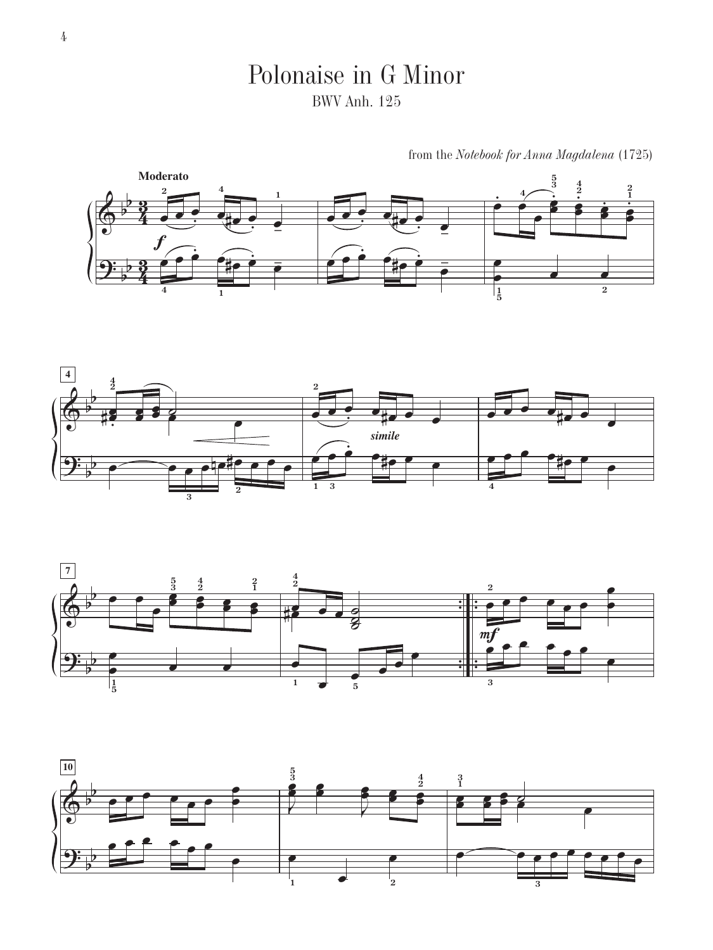

from the *Notebook for Anna Magdalena* (1725)







Polonaise in G Minor BWV Anh. 125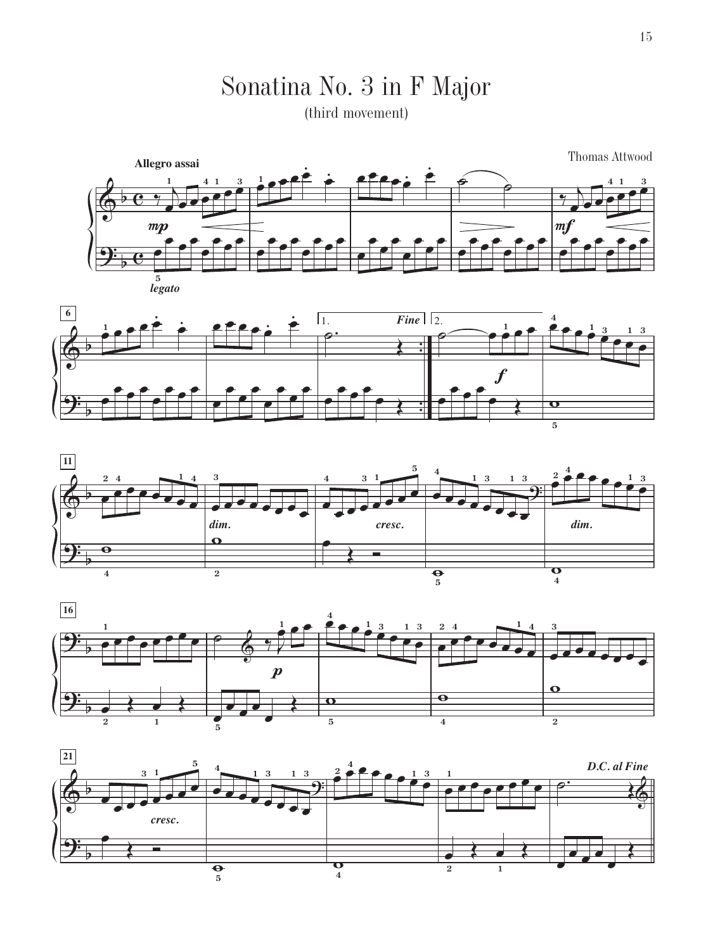# Sonatina No. 3 in F Major

(third movement)









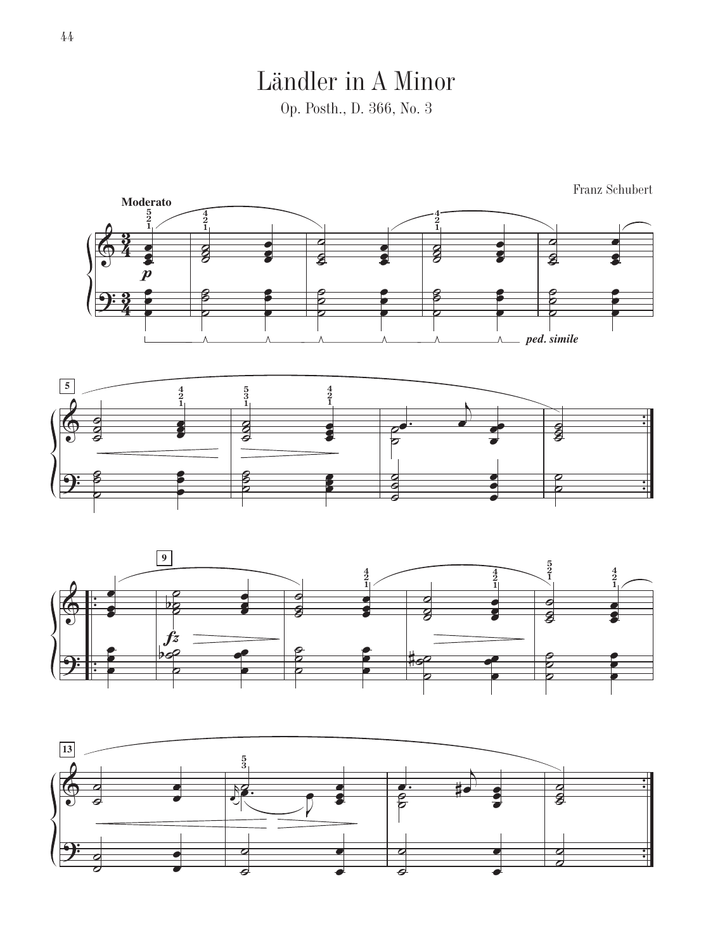## Ländler in A Minor

Op. Posth., D. 366, No. 3







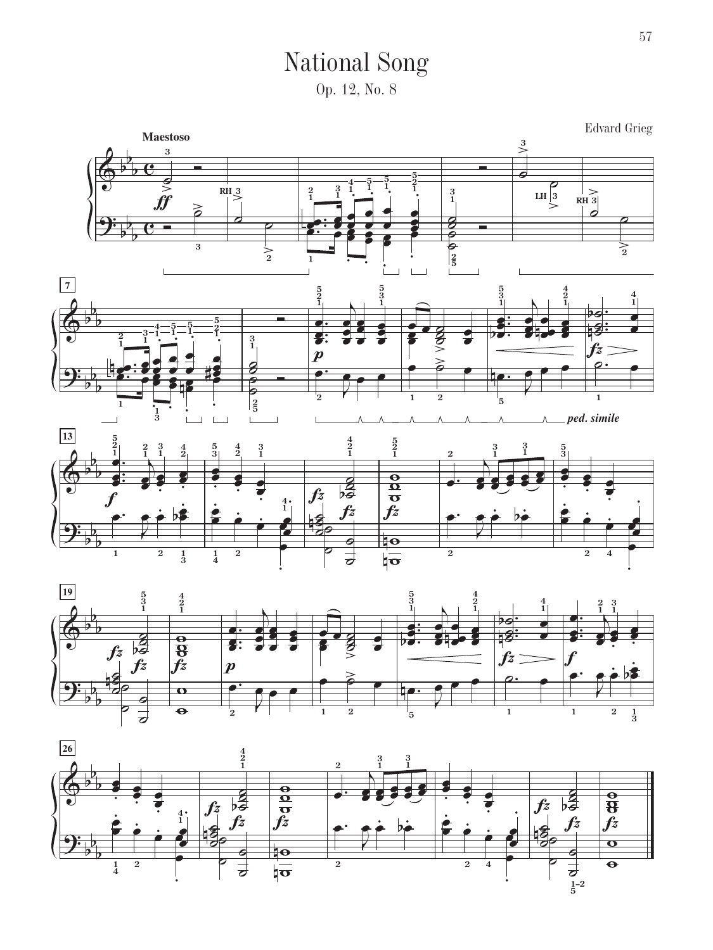National Song Op. 12, No. 8





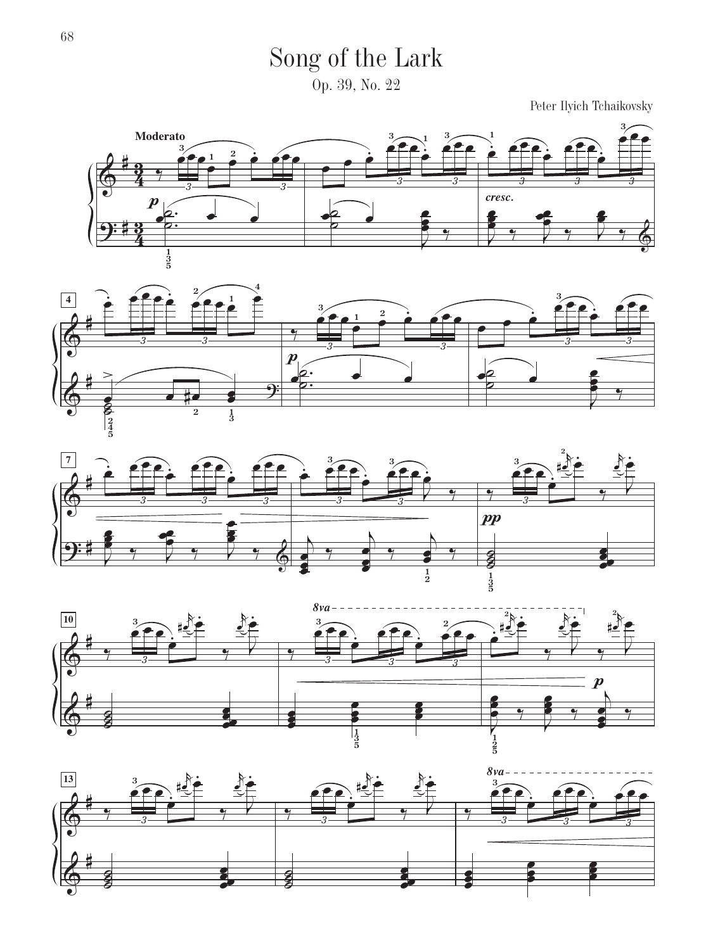Song of the Lark

Op. 39, No. 22

Peter Ilyich Tchaikovsky